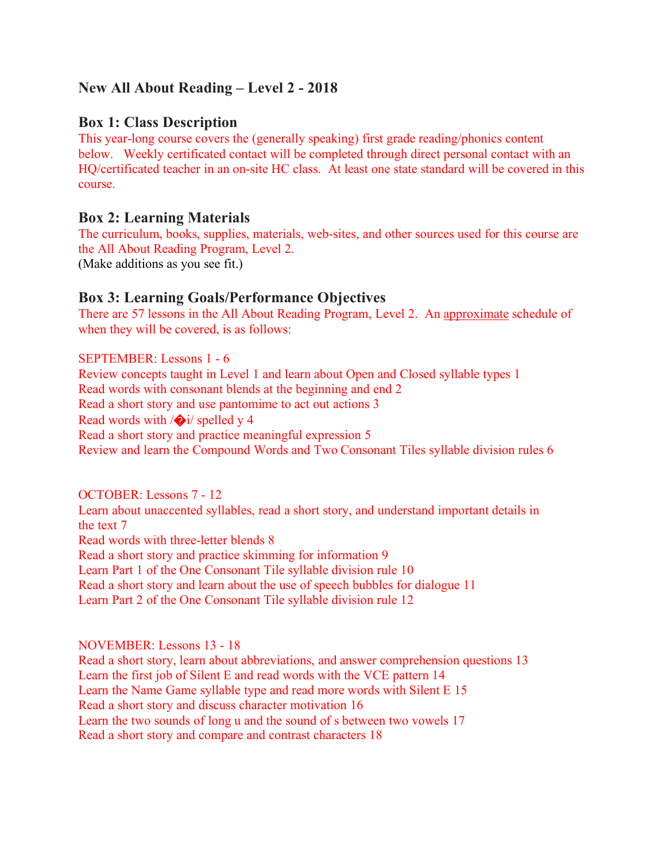# **New All About Reading – Level 2 - 2018**

# **Box 1: Class Description**

This year-long course covers the (generally speaking) first grade reading/phonics content below. Weekly certificated contact will be completed through direct personal contact with an HQ/certificated teacher in an on-site HC class. At least one state standard will be covered in this course.

## **Box 2: Learning Materials**

The curriculum, books, supplies, materials, web-sites, and other sources used for this course are the All About Reading Program, Level 2. (Make additions as you see fit.)

# **Box 3: Learning Goals/Performance Objectives**

There are 57 lessons in the All About Reading Program, Level 2. An approximate schedule of when they will be covered, is as follows:

### SEPTEMBER: Lessons 1 - 6

Review concepts taught in Level 1 and learn about Open and Closed syllable types 1 Read words with consonant blends at the beginning and end 2 Read a short story and use pantomime to act out actions 3 Read words with /�i/ spelled y 4 Read a short story and practice meaningful expression 5 Review and learn the Compound Words and Two Consonant Tiles syllable division rules 6

OCTOBER: Lessons 7 - 12

Learn about unaccented syllables, read a short story, and understand important details in the text 7 Read words with three-letter blends 8 Read a short story and practice skimming for information 9 Learn Part 1 of the One Consonant Tile syllable division rule 10 Read a short story and learn about the use of speech bubbles for dialogue 11 Learn Part 2 of the One Consonant Tile syllable division rule 12

#### NOVEMBER: Lessons 13 - 18

Read a short story, learn about abbreviations, and answer comprehension questions 13 Learn the first job of Silent E and read words with the VCE pattern 14 Learn the Name Game syllable type and read more words with Silent E 15 Read a short story and discuss character motivation 16 Learn the two sounds of long u and the sound of s between two vowels 17 Read a short story and compare and contrast characters 18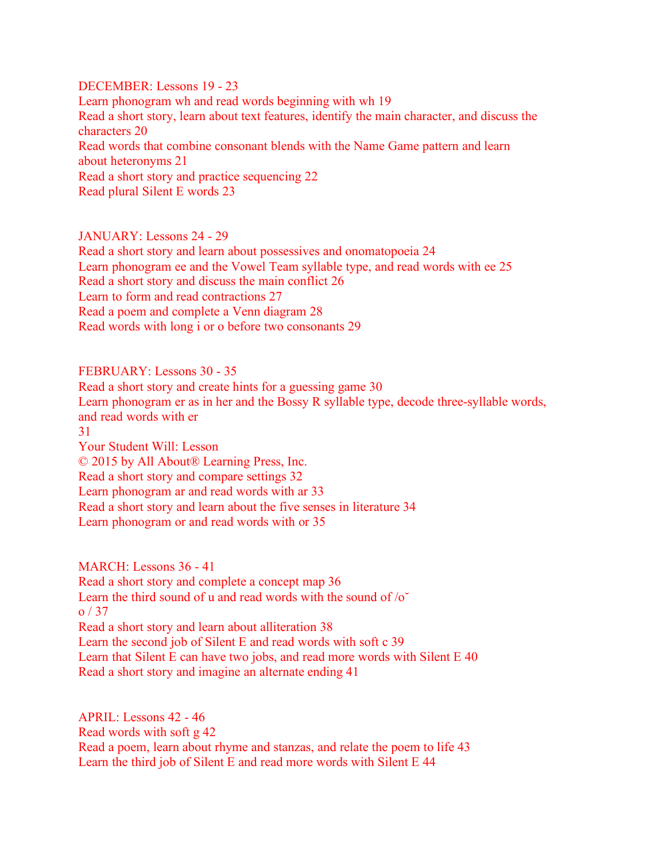DECEMBER: Lessons 19 - 23 Learn phonogram wh and read words beginning with wh 19 Read a short story, learn about text features, identify the main character, and discuss the characters 20 Read words that combine consonant blends with the Name Game pattern and learn about heteronyms 21 Read a short story and practice sequencing 22 Read plural Silent E words 23

JANUARY: Lessons 24 - 29 Read a short story and learn about possessives and onomatopoeia 24 Learn phonogram ee and the Vowel Team syllable type, and read words with ee 25 Read a short story and discuss the main conflict 26 Learn to form and read contractions 27 Read a poem and complete a Venn diagram 28 Read words with long i or o before two consonants 29

FEBRUARY: Lessons 30 - 35

Read a short story and create hints for a guessing game 30 Learn phonogram er as in her and the Bossy R syllable type, decode three-syllable words, and read words with er 31 Your Student Will: Lesson © 2015 by All About® Learning Press, Inc. Read a short story and compare settings 32 Learn phonogram ar and read words with ar 33 Read a short story and learn about the five senses in literature 34 Learn phonogram or and read words with or 35

MARCH: Lessons 36 - 41 Read a short story and complete a concept map 36 Learn the third sound of u and read words with the sound of  $\sigma$ <sup> $\sim$ </sup> o / 37 Read a short story and learn about alliteration 38 Learn the second job of Silent E and read words with soft c 39 Learn that Silent E can have two jobs, and read more words with Silent E 40 Read a short story and imagine an alternate ending 41

APRIL: Lessons 42 - 46 Read words with soft g 42 Read a poem, learn about rhyme and stanzas, and relate the poem to life 43 Learn the third job of Silent E and read more words with Silent E 44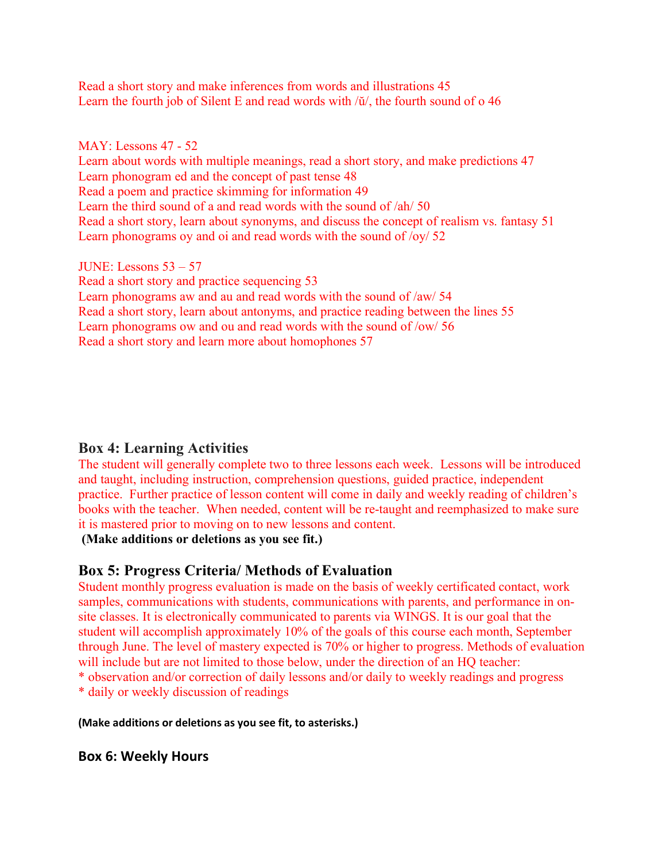Read a short story and make inferences from words and illustrations 45 Learn the fourth job of Silent E and read words with /ŭ/, the fourth sound of o 46

#### MAY: Lessons 47 - 52

Learn about words with multiple meanings, read a short story, and make predictions 47 Learn phonogram ed and the concept of past tense 48 Read a poem and practice skimming for information 49 Learn the third sound of a and read words with the sound of  $\langle ah/50 \rangle$ Read a short story, learn about synonyms, and discuss the concept of realism vs. fantasy 51 Learn phonograms oy and oi and read words with the sound of /oy/ 52

JUNE: Lessons 53 – 57

Read a short story and practice sequencing 53 Learn phonograms aw and au and read words with the sound of /aw/ 54 Read a short story, learn about antonyms, and practice reading between the lines 55 Learn phonograms ow and ou and read words with the sound of /ow/ 56 Read a short story and learn more about homophones 57

## **Box 4: Learning Activities**

The student will generally complete two to three lessons each week. Lessons will be introduced and taught, including instruction, comprehension questions, guided practice, independent practice. Further practice of lesson content will come in daily and weekly reading of children's books with the teacher. When needed, content will be re-taught and reemphasized to make sure it is mastered prior to moving on to new lessons and content.

**(Make additions or deletions as you see fit.)**

# **Box 5: Progress Criteria/ Methods of Evaluation**

Student monthly progress evaluation is made on the basis of weekly certificated contact, work samples, communications with students, communications with parents, and performance in onsite classes. It is electronically communicated to parents via WINGS. It is our goal that the student will accomplish approximately 10% of the goals of this course each month, September through June. The level of mastery expected is 70% or higher to progress. Methods of evaluation will include but are not limited to those below, under the direction of an HQ teacher: \* observation and/or correction of daily lessons and/or daily to weekly readings and progress

\* daily or weekly discussion of readings

#### **(Make additions or deletions as you see fit, to asterisks.)**

## **Box 6: Weekly Hours**